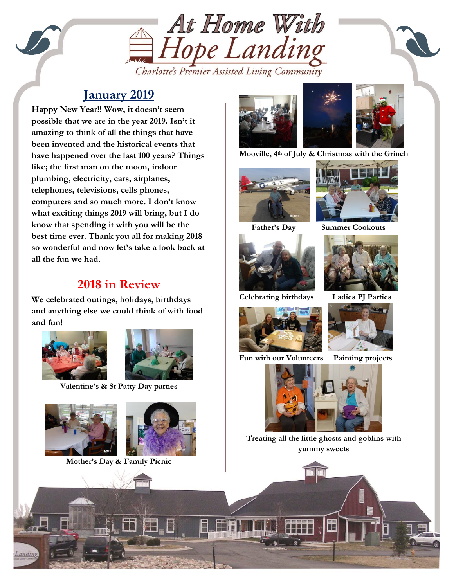

Charlotte's Premier Assisted Living Community

#### **January 2019**

plumbing, electricity, cars, airplanes, **Happy New Year!! Wow, it doesn't seem possible that we are in the year 2019. Isn't it amazing to think of all the things that have been invented and the historical events that have happened over the last 100 years? Things like; the first man on the moon, indoor telephones, televisions, cells phones, computers and so much more. I don't know what exciting things 2019 will bring, but I do know that spending it with you will be the best time ever. Thank you all for making 2018 so wonderful and now let's take a look back at all the fun we had.**

#### **2018 in Review**

**We celebrated outings, holidays, birthdays and anything else we could think of with food and fun!**





**Valentine's & St Patty Day parties**



**Mother's Day & Family Picnic**





**Mooville, 4th of July & Christmas with the Grinch**





 **Father's Day Summer Cookouts**



**Celebrating birthdays Ladies PJ Parties**



**Fun with our Volunteers Painting projects**







**Treating all the little ghosts and goblins with yummy sweets**